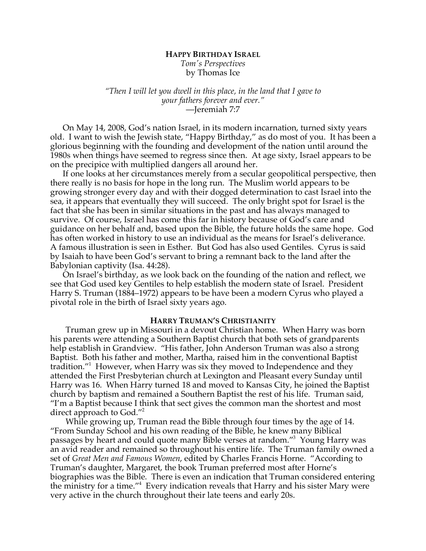#### **HAPPY BIRTHDAY ISRAEL**

*Tom's Perspectives* by Thomas Ice

*"Then I will let you dwell in this place, in the land that I gave to your fathers forever and ever."*  —Jeremiah 7:7

On May 14, 2008, God's nation Israel, in its modern incarnation, turned sixty years old. I want to wish the Jewish state, "Happy Birthday," as do most of you. It has been a glorious beginning with the founding and development of the nation until around the 1980s when things have seemed to regress since then. At age sixty, Israel appears to be on the precipice with multiplied dangers all around her.

If one looks at her circumstances merely from a secular geopolitical perspective, then there really is no basis for hope in the long run. The Muslim world appears to be growing stronger every day and with their dogged determination to cast Israel into the sea, it appears that eventually they will succeed. The only bright spot for Israel is the fact that she has been in similar situations in the past and has always managed to survive. Of course, Israel has come this far in history because of God's care and guidance on her behalf and, based upon the Bible, the future holds the same hope. God has often worked in history to use an individual as the means for Israel's deliverance. A famous illustration is seen in Esther. But God has also used Gentiles. Cyrus is said by Isaiah to have been God's servant to bring a remnant back to the land after the Babylonian captivity (Isa. 44:28).

On Israel's birthday, as we look back on the founding of the nation and reflect, we see that God used key Gentiles to help establish the modern state of Israel. President Harry S. Truman (1884–1972) appears to be have been a modern Cyrus who played a pivotal role in the birth of Israel sixty years ago.

# **HARRY TRUMAN'S CHRISTIANITY**

Truman grew up in Missouri in a devout Christian home. When Harry was born his parents were attending a Southern Baptist church that both sets of grandparents help establish in Grandview. "His father, John Anderson Truman was also a strong Baptist. Both his father and mother, Martha, raised him in the conventional Baptist tradition."1 However, when Harry was six they moved to Independence and they attended the First Presbyterian church at Lexington and Pleasant every Sunday until Harry was 16. When Harry turned 18 and moved to Kansas City, he joined the Baptist church by baptism and remained a Southern Baptist the rest of his life. Truman said, "I'm a Baptist because I think that sect gives the common man the shortest and most direct approach to God."<sup>2</sup>

While growing up, Truman read the Bible through four times by the age of 14. "From Sunday School and his own reading of the Bible, he knew many Biblical passages by heart and could quote many Bible verses at random."3 Young Harry was an avid reader and remained so throughout his entire life. The Truman family owned a set of *Great Men and Famous Women*, edited by Charles Francis Horne. "According to Truman's daughter, Margaret, the book Truman preferred most after Horne's biographies was the Bible. There is even an indication that Truman considered entering the ministry for a time."<sup>4</sup> Every indication reveals that Harry and his sister Mary were very active in the church throughout their late teens and early 20s.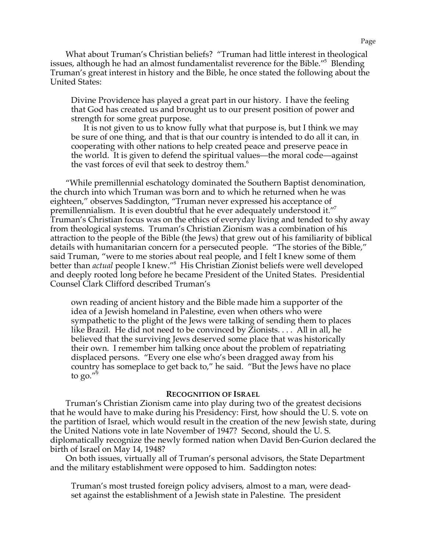What about Truman's Christian beliefs? "Truman had little interest in theological issues, although he had an almost fundamentalist reverence for the Bible."<sup>5</sup> Blending Truman's great interest in history and the Bible, he once stated the following about the United States:

Divine Providence has played a great part in our history. I have the feeling that God has created us and brought us to our present position of power and strength for some great purpose.

It is not given to us to know fully what that purpose is, but I think we may be sure of one thing, and that is that our country is intended to do all it can, in cooperating with other nations to help created peace and preserve peace in the world. It is given to defend the spiritual values—the moral code—against the vast forces of evil that seek to destroy them.<sup>6</sup>

"While premillennial eschatology dominated the Southern Baptist denomination, the church into which Truman was born and to which he returned when he was eighteen," observes Saddington, "Truman never expressed his acceptance of premillennialism. It is even doubtful that he ever adequately understood it."7 Truman's Christian focus was on the ethics of everyday living and tended to shy away from theological systems. Truman's Christian Zionism was a combination of his attraction to the people of the Bible (the Jews) that grew out of his familiarity of biblical details with humanitarian concern for a persecuted people. "The stories of the Bible," said Truman, "were to me stories about real people, and I felt I knew some of them better than *actual* people I knew."8 His Christian Zionist beliefs were well developed and deeply rooted long before he became President of the United States. Presidential Counsel Clark Clifford described Truman's

own reading of ancient history and the Bible made him a supporter of the idea of a Jewish homeland in Palestine, even when others who were sympathetic to the plight of the Jews were talking of sending them to places like Brazil. He did not need to be convinced by Zionists. . . . All in all, he believed that the surviving Jews deserved some place that was historically their own. I remember him talking once about the problem of repatriating displaced persons. "Every one else who's been dragged away from his country has someplace to get back to," he said. "But the Jews have no place to go." $9$ 

#### **RECOGNITION OF ISRAEL**

Truman's Christian Zionism came into play during two of the greatest decisions that he would have to make during his Presidency: First, how should the U. S. vote on the partition of Israel, which would result in the creation of the new Jewish state, during the United Nations vote in late November of 1947? Second, should the U. S. diplomatically recognize the newly formed nation when David Ben-Gurion declared the birth of Israel on May 14, 1948?

On both issues, virtually all of Truman's personal advisors, the State Department and the military establishment were opposed to him. Saddington notes:

Truman's most trusted foreign policy advisers, almost to a man, were deadset against the establishment of a Jewish state in Palestine. The president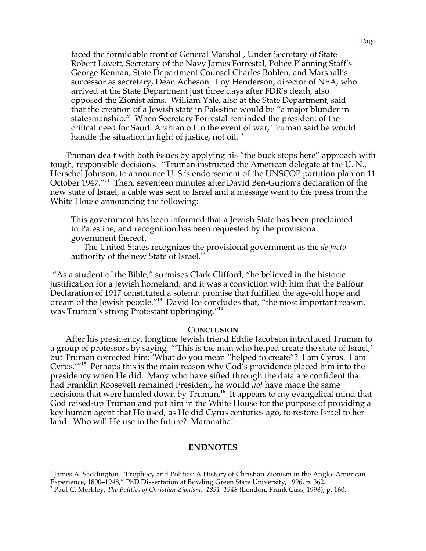faced the formidable front of General Marshall, Under Secretary of State Robert Lovett, Secretary of the Navy James Forrestal, Policy Planning Staff's George Kennan, State Department Counsel Charles Bohlen, and Marshall's successor as secretary, Dean Acheson. Loy Henderson, director of NEA, who arrived at the State Department just three days after FDR's death, also opposed the Zionist aims. William Yale, also at the State Department, said that the creation of a Jewish state in Palestine would be "a major blunder in statesmanship." When Secretary Forrestal reminded the president of the critical need for Saudi Arabian oil in the event of war, Truman said he would handle the situation in light of justice, not oil.<sup>10</sup>

Truman dealt with both issues by applying his "the buck stops here" approach with tough, responsible decisions. "Truman instructed the American delegate at the U. N., Herschel Johnson, to announce U. S.'s endorsement of the UNSCOP partition plan on 11 October 1947."11 Then, seventeen minutes after David Ben-Gurion's declaration of the new state of Israel, a cable was sent to Israel and a message went to the press from the White House announcing the following:

This government has been informed that a Jewish State has been proclaimed in Palestine, and recognition has been requested by the provisional government thereof.

The United States recognizes the provisional government as the *de facto* authority of the new State of Israel.<sup>12</sup>

 "As a student of the Bible," surmises Clark Clifford, "he believed in the historic justification for a Jewish homeland, and it was a conviction with him that the Balfour Declaration of 1917 constituted a solemn promise that fulfilled the age-old hope and dream of the Jewish people."13 David Ice concludes that, "the most important reason, was Truman's strong Protestant upbringing."14

### **CONCLUSION**

After his presidency, longtime Jewish friend Eddie Jacobson introduced Truman to a group of professors by saying, "'This is the man who helped create the state of Israel,' but Truman corrected him: 'What do you mean "helped to create"? I am Cyrus. I am Cyrus.'"15 Perhaps this is the main reason why God's providence placed him into the presidency when He did. Many who have sifted through the data are confident that had Franklin Roosevelt remained President, he would *not* have made the same decisions that were handed down by Truman.<sup>16</sup> It appears to my evangelical mind that God raised-up Truman and put him in the White House for the purpose of providing a key human agent that He used, as He did Cyrus centuries ago, to restore Israel to her land. Who will He use in the future? Maranatha!

## **ENDNOTES**

<sup>|&</sup>lt;br>1 James A. Saddington, "Prophecy and Politics: A History of Christian Zionism in the Anglo–American Experience, 1800–1948," PhD Dissertation at Bowling Green State University, 1996, p. 362.<br><sup>2</sup> Paul G. Morklov, *The Politics of Christian Zionism: 1891, 1948* (London, Erank Gass, 1998).

<sup>&</sup>lt;sup>2</sup> Paul C. Merkley, *The Politics of Christian Zionism: 1891-1948* (London, Frank Cass, 1998), p. 160.